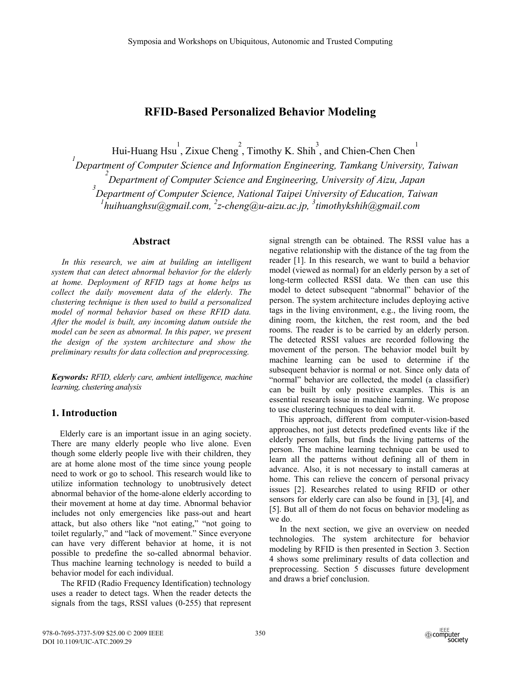# **RFID-Based Personalized Behavior Modeling**

Hui-Huang Hsu<sup>1</sup>, Zixue Cheng<sup>2</sup>, Timothy K. Shih<sup>3</sup>, and Chien-Chen Chen<sup>1</sup>

<sup>1</sup><br> *Department of Computer Science and Information Engineering, Tamkang University, Taiwan* 

*2 Department of Computer Science and Engineering, University of Aizu, Japan* 

<sup>3</sup><br> *Department of Computer Science, National Taipei University of Education, Taiwan* 

*1 huihuanghsu@gmail.com, <sup>2</sup> z-cheng@u-aizu.ac.jp, <sup>3</sup> timothykshih@gmail.com*

### **Abstract**

In this research, we aim at building an intelligent *system that can detect abnormal behavior for the elderly at home. Deployment of RFID tags at home helps us collect the daily movement data of the elderly. The clustering technique is then used to build a personalized model of normal behavior based on these RFID data. After the model is built, any incoming datum outside the model can be seen as abnormal. In this paper, we present the design of the system architecture and show the preliminary results for data collection and preprocessing.* 

*Keywords: RFID, elderly care, ambient intelligence, machine learning, clustering analysis* 

## **1. Introduction**

Elderly care is an important issue in an aging society. There are many elderly people who live alone. Even though some elderly people live with their children, they are at home alone most of the time since young people need to work or go to school. This research would like to utilize information technology to unobtrusively detect abnormal behavior of the home-alone elderly according to their movement at home at day time. Abnormal behavior includes not only emergencies like pass-out and heart attack, but also others like "not eating," "not going to toilet regularly," and "lack of movement." Since everyone can have very different behavior at home, it is not possible to predefine the so-called abnormal behavior. Thus machine learning technology is needed to build a behavior model for each individual.

The RFID (Radio Frequency Identification) technology uses a reader to detect tags. When the reader detects the signals from the tags, RSSI values (0-255) that represent signal strength can be obtained. The RSSI value has a negative relationship with the distance of the tag from the reader [1]. In this research, we want to build a behavior model (viewed as normal) for an elderly person by a set of long-term collected RSSI data. We then can use this model to detect subsequent "abnormal" behavior of the person. The system architecture includes deploying active tags in the living environment, e.g., the living room, the dining room, the kitchen, the rest room, and the bed rooms. The reader is to be carried by an elderly person. The detected RSSI values are recorded following the movement of the person. The behavior model built by machine learning can be used to determine if the subsequent behavior is normal or not. Since only data of "normal" behavior are collected, the model (a classifier) can be built by only positive examples. This is an essential research issue in machine learning. We propose to use clustering techniques to deal with it.

This approach, different from computer-vision-based approaches, not just detects predefined events like if the elderly person falls, but finds the living patterns of the person. The machine learning technique can be used to learn all the patterns without defining all of them in advance. Also, it is not necessary to install cameras at home. This can relieve the concern of personal privacy issues [2]. Researches related to using RFID or other sensors for elderly care can also be found in [3], [4], and [5]. But all of them do not focus on behavior modeling as we do.

In the next section, we give an overview on needed technologies. The system architecture for behavior modeling by RFID is then presented in Section 3. Section 4 shows some preliminary results of data collection and preprocessing. Section 5 discusses future development and draws a brief conclusion.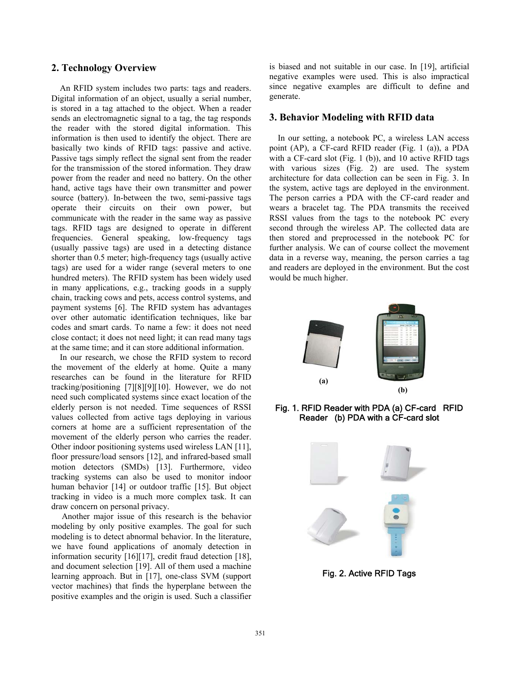## **2. Technology Overview**

An RFID system includes two parts: tags and readers. Digital information of an object, usually a serial number, is stored in a tag attached to the object. When a reader sends an electromagnetic signal to a tag, the tag responds the reader with the stored digital information. This information is then used to identify the object. There are basically two kinds of RFID tags: passive and active. Passive tags simply reflect the signal sent from the reader for the transmission of the stored information. They draw power from the reader and need no battery. On the other hand, active tags have their own transmitter and power source (battery). In-between the two, semi-passive tags operate their circuits on their own power, but communicate with the reader in the same way as passive tags. RFID tags are designed to operate in different frequencies. General speaking, low-frequency tags (usually passive tags) are used in a detecting distance shorter than 0.5 meter; high-frequency tags (usually active tags) are used for a wider range (several meters to one hundred meters). The RFID system has been widely used in many applications, e.g., tracking goods in a supply chain, tracking cows and pets, access control systems, and payment systems [6]. The RFID system has advantages over other automatic identification techniques, like bar codes and smart cards. To name a few: it does not need close contact; it does not need light; it can read many tags at the same time; and it can store additional information.

In our research, we chose the RFID system to record the movement of the elderly at home. Quite a many researches can be found in the literature for RFID tracking/positioning [7][8][9][10]. However, we do not need such complicated systems since exact location of the elderly person is not needed. Time sequences of RSSI values collected from active tags deploying in various corners at home are a sufficient representation of the movement of the elderly person who carries the reader. Other indoor positioning systems used wireless LAN [11], floor pressure/load sensors [12], and infrared-based small motion detectors (SMDs) [13]. Furthermore, video tracking systems can also be used to monitor indoor human behavior [14] or outdoor traffic [15]. But object tracking in video is a much more complex task. It can draw concern on personal privacy.

Another major issue of this research is the behavior modeling by only positive examples. The goal for such modeling is to detect abnormal behavior. In the literature, we have found applications of anomaly detection in information security [16][17], credit fraud detection [18], and document selection [19]. All of them used a machine learning approach. But in [17], one-class SVM (support vector machines) that finds the hyperplane between the positive examples and the origin is used. Such a classifier

is biased and not suitable in our case. In [19], artificial negative examples were used. This is also impractical since negative examples are difficult to define and generate.

## **3. Behavior Modeling with RFID data**

In our setting, a notebook PC, a wireless LAN access point (AP), a CF-card RFID reader (Fig. 1 (a)), a PDA with a CF-card slot (Fig. 1 (b)), and 10 active RFID tags with various sizes (Fig. 2) are used. The system architecture for data collection can be seen in Fig. 3. In the system, active tags are deployed in the environment. The person carries a PDA with the CF-card reader and wears a bracelet tag. The PDA transmits the received RSSI values from the tags to the notebook PC every second through the wireless AP. The collected data are then stored and preprocessed in the notebook PC for further analysis. We can of course collect the movement data in a reverse way, meaning, the person carries a tag and readers are deployed in the environment. But the cost would be much higher.







Fig. 2. Active RFID Tags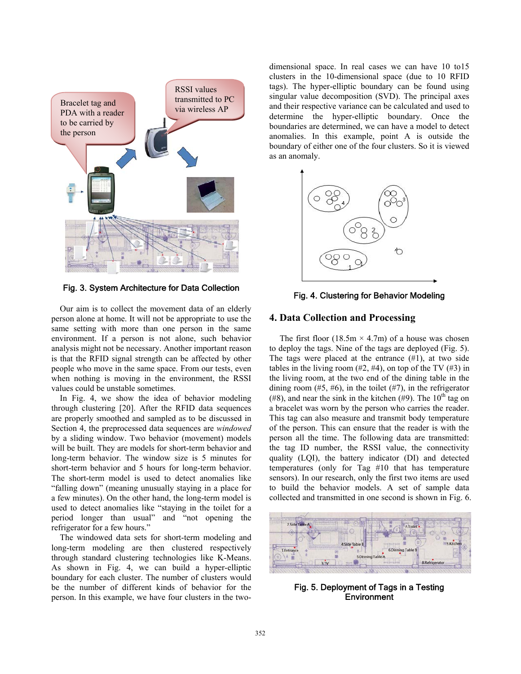

Fig. 3. System Architecture for Data Collection

Our aim is to collect the movement data of an elderly person alone at home. It will not be appropriate to use the same setting with more than one person in the same environment. If a person is not alone, such behavior analysis might not be necessary. Another important reason is that the RFID signal strength can be affected by other people who move in the same space. From our tests, even when nothing is moving in the environment, the RSSI values could be unstable sometimes.

In Fig. 4, we show the idea of behavior modeling through clustering [20]. After the RFID data sequences are properly smoothed and sampled as to be discussed in Section 4, the preprocessed data sequences are *windowed* by a sliding window. Two behavior (movement) models will be built. They are models for short-term behavior and long-term behavior. The window size is 5 minutes for short-term behavior and 5 hours for long-term behavior. The short-term model is used to detect anomalies like "falling down" (meaning unusually staying in a place for a few minutes). On the other hand, the long-term model is used to detect anomalies like "staying in the toilet for a period longer than usual" and "not opening the refrigerator for a few hours."

The windowed data sets for short-term modeling and long-term modeling are then clustered respectively through standard clustering technologies like K-Means. As shown in Fig. 4, we can build a hyper-elliptic boundary for each cluster. The number of clusters would be the number of different kinds of behavior for the person. In this example, we have four clusters in the twodimensional space. In real cases we can have 10 to15 clusters in the 10-dimensional space (due to 10 RFID tags). The hyper-elliptic boundary can be found using singular value decomposition (SVD). The principal axes and their respective variance can be calculated and used to determine the hyper-elliptic boundary. Once the boundaries are determined, we can have a model to detect anomalies. In this example, point A is outside the boundary of either one of the four clusters. So it is viewed as an anomaly.



Fig. 4. Clustering for Behavior Modeling

## **4. Data Collection and Processing**

The first floor (18.5m  $\times$  4.7m) of a house was chosen to deploy the tags. Nine of the tags are deployed (Fig. 5). The tags were placed at the entrance  $(\#1)$ , at two side tables in the living room  $(\#2, \#4)$ , on top of the TV  $(\#3)$  in the living room, at the two end of the dining table in the dining room  $(\#5, \#6)$ , in the toilet  $(\#7)$ , in the refrigerator (#8), and near the sink in the kitchen (#9). The  $10^{th}$  tag on a bracelet was worn by the person who carries the reader. This tag can also measure and transmit body temperature of the person. This can ensure that the reader is with the person all the time. The following data are transmitted: the tag ID number, the RSSI value, the connectivity quality (LQI), the battery indicator (DI) and detected temperatures (only for Tag #10 that has temperature sensors). In our research, only the first two items are used to build the behavior models. A set of sample data collected and transmitted in one second is shown in Fig. 6.



Fig. 5. Deployment of Tags in a Testing **Environment**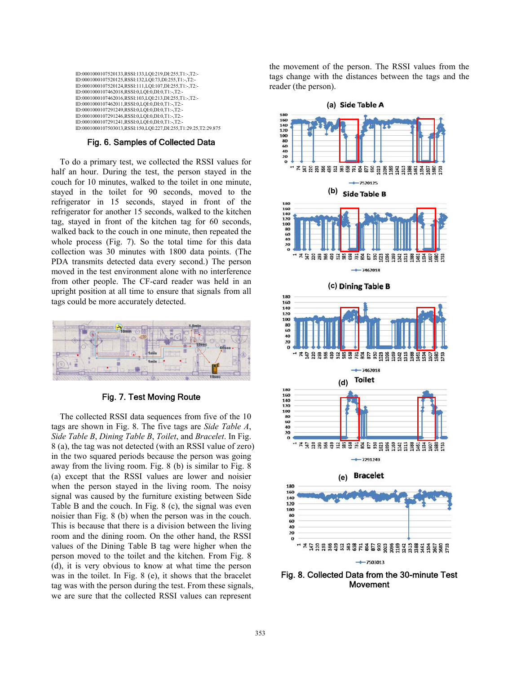| ID:0001000107520133, RSSI:133, LQI:219, DI:255, T1: -, T2:-         |
|---------------------------------------------------------------------|
| ID:0001000107520125, RSSI:132, LOI:73, DI:255, T1: -, T2:-          |
| ID:0001000107520124, RSSI:111, LQI:107, DI:255, T1:-, T2:-          |
| ID:0001000107462018,RSSI:0,LQI:0,DI:0,T1:-,T2:-                     |
| ID:0001000107462016,RSSI:103,LQI:213,DI:255,T1:-,T2:-               |
| ID:0001000107462011,RSSI:0,LQI:0,DI:0,T1:-,T2:-                     |
| ID:0001000107291249,RSSI:0,LQI:0,DI:0,T1:-,T2:-                     |
| ID:0001000107291246,RSSI:0,LQI:0,DI:0,T1:-,T2:-                     |
| ID:0001000107291241,RSSI:0,LQI:0,DI:0,T1:-,T2:-                     |
| ID:0001000107503013, RSSI:150, LQI:227, DI:255, T1:29.25, T2:29.875 |
|                                                                     |

### Fig. 6. Samples of Collected Data

To do a primary test, we collected the RSSI values for half an hour. During the test, the person stayed in the couch for 10 minutes, walked to the toilet in one minute, stayed in the toilet for 90 seconds, moved to the refrigerator in 15 seconds, stayed in front of the refrigerator for another 15 seconds, walked to the kitchen tag, stayed in front of the kitchen tag for 60 seconds, walked back to the couch in one minute, then repeated the whole process (Fig. 7). So the total time for this data collection was 30 minutes with 1800 data points. (The PDA transmits detected data every second.) The person moved in the test environment alone with no interference from other people. The CF-card reader was held in an upright position at all time to ensure that signals from all tags could be more accurately detected.



#### Fig. 7. Test Moving Route

The collected RSSI data sequences from five of the 10 tags are shown in Fig. 8. The five tags are *Side Table A*, *Side Table B*, *Dining Table B*, *Toilet*, and *Bracelet*. In Fig. 8 (a), the tag was not detected (with an RSSI value of zero) in the two squared periods because the person was going away from the living room. Fig. 8 (b) is similar to Fig. 8 (a) except that the RSSI values are lower and noisier when the person stayed in the living room. The noisy signal was caused by the furniture existing between Side Table B and the couch. In Fig. 8 (c), the signal was even noisier than Fig. 8 (b) when the person was in the couch. This is because that there is a division between the living room and the dining room. On the other hand, the RSSI values of the Dining Table B tag were higher when the person moved to the toilet and the kitchen. From Fig. 8 (d), it is very obvious to know at what time the person was in the toilet. In Fig. 8 (e), it shows that the bracelet tag was with the person during the test. From these signals, we are sure that the collected RSSI values can represent

the movement of the person. The RSSI values from the tags change with the distances between the tags and the reader (the person).



Fig. 8. Collected Data from the 30-minute Test Movement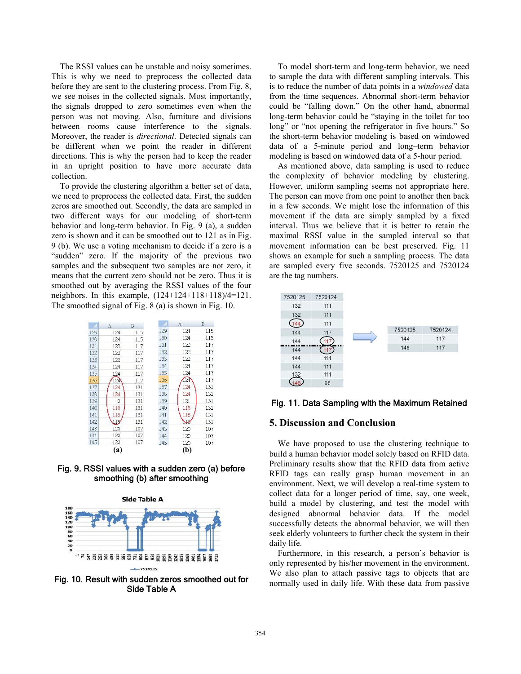The RSSI values can be unstable and noisy sometimes. This is why we need to preprocess the collected data before they are sent to the clustering process. From Fig. 8, we see noises in the collected signals. Most importantly, the signals dropped to zero sometimes even when the person was not moving. Also, furniture and divisions between rooms cause interference to the signals. Moreover, the reader is *directional*. Detected signals can be different when we point the reader in different directions. This is why the person had to keep the reader in an upright position to have more accurate data collection.

To provide the clustering algorithm a better set of data, we need to preprocess the collected data. First, the sudden zeros are smoothed out. Secondly, the data are sampled in two different ways for our modeling of short-term behavior and long-term behavior. In Fig. 9 (a), a sudden zero is shown and it can be smoothed out to 121 as in Fig. 9 (b). We use a voting mechanism to decide if a zero is a "sudden" zero. If the majority of the previous two samples and the subsequent two samples are not zero, it means that the current zero should not be zero. Thus it is smoothed out by averaging the RSSI values of the four neighbors. In this example, (124+124+118+118)/4=121. The smoothed signal of Fig. 8 (a) is shown in Fig. 10.



Fig. 9. RSSI values with a sudden zero (a) before smoothing (b) after smoothing



Fig. 10. Result with sudden zeros smoothed out for Side Table A

To model short-term and long-term behavior, we need to sample the data with different sampling intervals. This is to reduce the number of data points in a *windowed* data from the time sequences. Abnormal short-term behavior could be "falling down." On the other hand, abnormal long-term behavior could be "staying in the toilet for too long" or "not opening the refrigerator in five hours." So the short-term behavior modeling is based on windowed data of a 5-minute period and long–term behavior modeling is based on windowed data of a 5-hour period.

As mentioned above, data sampling is used to reduce the complexity of behavior modeling by clustering. However, uniform sampling seems not appropriate here. The person can move from one point to another then back in a few seconds. We might lose the information of this movement if the data are simply sampled by a fixed interval. Thus we believe that it is better to retain the maximal RSSI value in the sampled interval so that movement information can be best preserved. Fig. 11 shows an example for such a sampling process. The data are sampled every five seconds. 7520125 and 7520124 are the tag numbers.



Fig. 11. Data Sampling with the Maximum Retained

### **5. Discussion and Conclusion**

We have proposed to use the clustering technique to build a human behavior model solely based on RFID data. Preliminary results show that the RFID data from active RFID tags can really grasp human movement in an environment. Next, we will develop a real-time system to collect data for a longer period of time, say, one week, build a model by clustering, and test the model with designed abnormal behavior data. If the model successfully detects the abnormal behavior, we will then seek elderly volunteers to further check the system in their daily life.

Furthermore, in this research, a person's behavior is only represented by his/her movement in the environment. We also plan to attach passive tags to objects that are normally used in daily life. With these data from passive